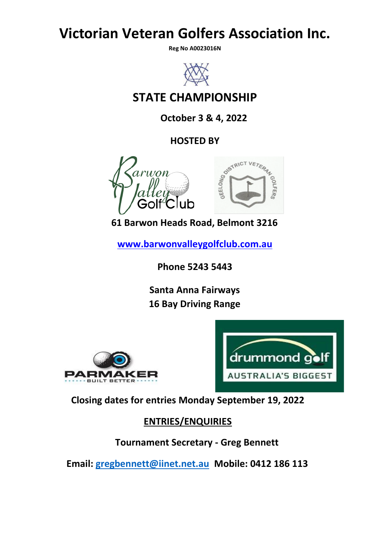# **Victorian Veteran Golfers Association Inc.**

**Reg No A0023016N** 



# **STATE CHAMPIONSHIP**

**October 3 & 4, 2022**



**61 Barwon Heads Road, Belmont 3216**

**www.barwonvalleygolfclub.com.a[u](http://www.strathbogiegolf.com.au/)**

**Phone 5243 5443**

**Santa Anna Fairways 16 Bay Driving Range**





**Closing dates for entries Monday September 19, 2022**

**ENTRIES/ENQUIRIES**

**Tournament Secretary - Greg Bennett**

**Email: [gregbennett@iinet.net.au](mailto:gregbennett@iinet.net.au) Mobile: 0412 186 113**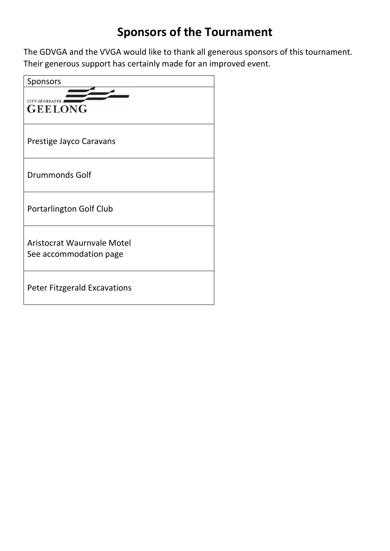# **Sponsors of the Tournament**

The GDVGA and the VVGA would like to thank all generous sponsors of this tournament. Their generous support has certainly made for an improved event.

| Sponsors                                                    |
|-------------------------------------------------------------|
| <b>GEELONG</b>                                              |
| Prestige Jayco Caravans                                     |
| <b>Drummonds Golf</b>                                       |
| Portarlington Golf Club                                     |
| <b>Aristocrat Waurnyale Motel</b><br>See accommodation page |
| <b>Peter Fitzgerald Excavations</b>                         |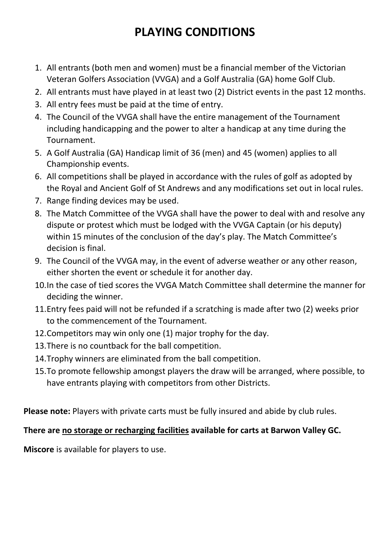# **PLAYING CONDITIONS**

- 1. All entrants (both men and women) must be a financial member of the Victorian Veteran Golfers Association (VVGA) and a Golf Australia (GA) home Golf Club.
- 2. All entrants must have played in at least two (2) District events in the past 12 months.
- 3. All entry fees must be paid at the time of entry.
- 4. The Council of the VVGA shall have the entire management of the Tournament including handicapping and the power to alter a handicap at any time during the Tournament.
- 5. A Golf Australia (GA) Handicap limit of 36 (men) and 45 (women) applies to all Championship events.
- 6. All competitions shall be played in accordance with the rules of golf as adopted by the Royal and Ancient Golf of St Andrews and any modifications set out in local rules.
- 7. Range finding devices may be used.
- 8. The Match Committee of the VVGA shall have the power to deal with and resolve any dispute or protest which must be lodged with the VVGA Captain (or his deputy) within 15 minutes of the conclusion of the day's play. The Match Committee's decision is final.
- 9. The Council of the VVGA may, in the event of adverse weather or any other reason, either shorten the event or schedule it for another day.
- 10.In the case of tied scores the VVGA Match Committee shall determine the manner for deciding the winner.
- 11.Entry fees paid will not be refunded if a scratching is made after two (2) weeks prior to the commencement of the Tournament.
- 12.Competitors may win only one (1) major trophy for the day.
- 13.There is no countback for the ball competition.
- 14.Trophy winners are eliminated from the ball competition.
- 15.To promote fellowship amongst players the draw will be arranged, where possible, to have entrants playing with competitors from other Districts.

**Please note:** Players with private carts must be fully insured and abide by club rules.

## **There are no storage or recharging facilities available for carts at Barwon Valley GC.**

**Miscore** is available for players to use.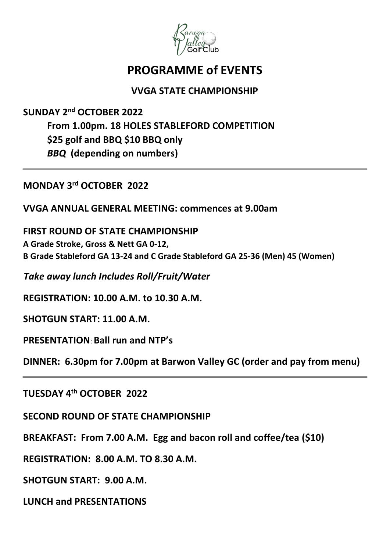

## **PROGRAMME of EVENTS**

## **VVGA STATE CHAMPIONSHIP**

**SUNDAY 2 nd OCTOBER 2022 From 1.00pm. 18 HOLES STABLEFORD COMPETITION \$25 golf and BBQ \$10 BBQ only** *BBQ* **(depending on numbers)**

**MONDAY 3 rd OCTOBER 2022** 

**VVGA ANNUAL GENERAL MEETING: commences at 9.00am**

**FIRST ROUND OF STATE CHAMPIONSHIP A Grade Stroke, Gross & Nett GA 0-12, B Grade Stableford GA 13-24 and C Grade Stableford GA 25-36 (Men) 45 (Women)**

*Take away lunch Includes Roll/Fruit/Water* 

**REGISTRATION: 10.00 A.M. to 10.30 A.M.** 

**SHOTGUN START: 11.00 A.M.** 

**PRESENTATION**: **Ball run and NTP's**

**DINNER: 6.30pm for 7.00pm at Barwon Valley GC (order and pay from menu)**

**TUESDAY 4 th OCTOBER 2022**

**SECOND ROUND OF STATE CHAMPIONSHIP**

**BREAKFAST: From 7.00 A.M. Egg and bacon roll and coffee/tea (\$10)**

**REGISTRATION: 8.00 A.M. TO 8.30 A.M.**

**SHOTGUN START: 9.00 A.M.**

**LUNCH and PRESENTATIONS**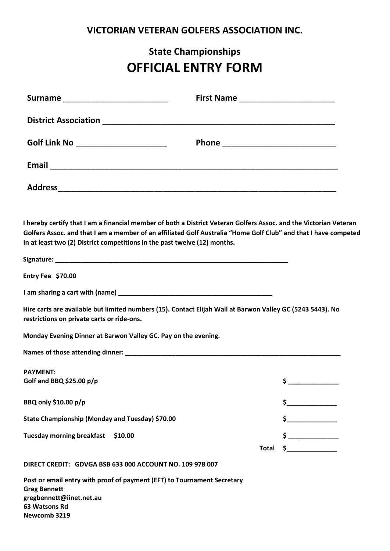## **VICTORIAN VETERAN GOLFERS ASSOCIATION INC.**

# **State Championships OFFICIAL ENTRY FORM**

| Surname __________________________                                                                                                                                                             |                                                                                                                 |
|------------------------------------------------------------------------------------------------------------------------------------------------------------------------------------------------|-----------------------------------------------------------------------------------------------------------------|
|                                                                                                                                                                                                |                                                                                                                 |
| Golf Link No _______________________                                                                                                                                                           |                                                                                                                 |
|                                                                                                                                                                                                |                                                                                                                 |
|                                                                                                                                                                                                |                                                                                                                 |
| I hereby certify that I am a financial member of both a District Veteran Golfers Assoc. and the Victorian Veteran<br>in at least two (2) District competitions in the past twelve (12) months. | Golfers Assoc. and that I am a member of an affiliated Golf Australia "Home Golf Club" and that I have competed |
| Entry Fee \$70.00                                                                                                                                                                              |                                                                                                                 |
|                                                                                                                                                                                                |                                                                                                                 |
| Hire carts are available but limited numbers (15). Contact Elijah Wall at Barwon Valley GC (5243 5443). No<br>restrictions on private carts or ride-ons.                                       |                                                                                                                 |
| Monday Evening Dinner at Barwon Valley GC. Pay on the evening.                                                                                                                                 |                                                                                                                 |
|                                                                                                                                                                                                |                                                                                                                 |
| <b>PAYMENT:</b><br>Golf and BBQ \$25.00 $p/p$                                                                                                                                                  | \$                                                                                                              |
| BBQ only \$10.00 p/p                                                                                                                                                                           | \$                                                                                                              |
| State Championship (Monday and Tuesday) \$70.00                                                                                                                                                |                                                                                                                 |
| Tuesday morning breakfast \$10.00                                                                                                                                                              | $\frac{1}{2}$<br>$\sim$<br><b>Total</b>                                                                         |
| DIRECT CREDIT: GDVGA BSB 633 000 ACCOUNT NO. 109 978 007                                                                                                                                       |                                                                                                                 |
| Post or email entry with proof of payment (EFT) to Tournament Secretary<br><b>Greg Bennett</b><br>gregbennett@iinet.net.au<br>63 Watsons Rd                                                    |                                                                                                                 |

**Newcomb 3219**